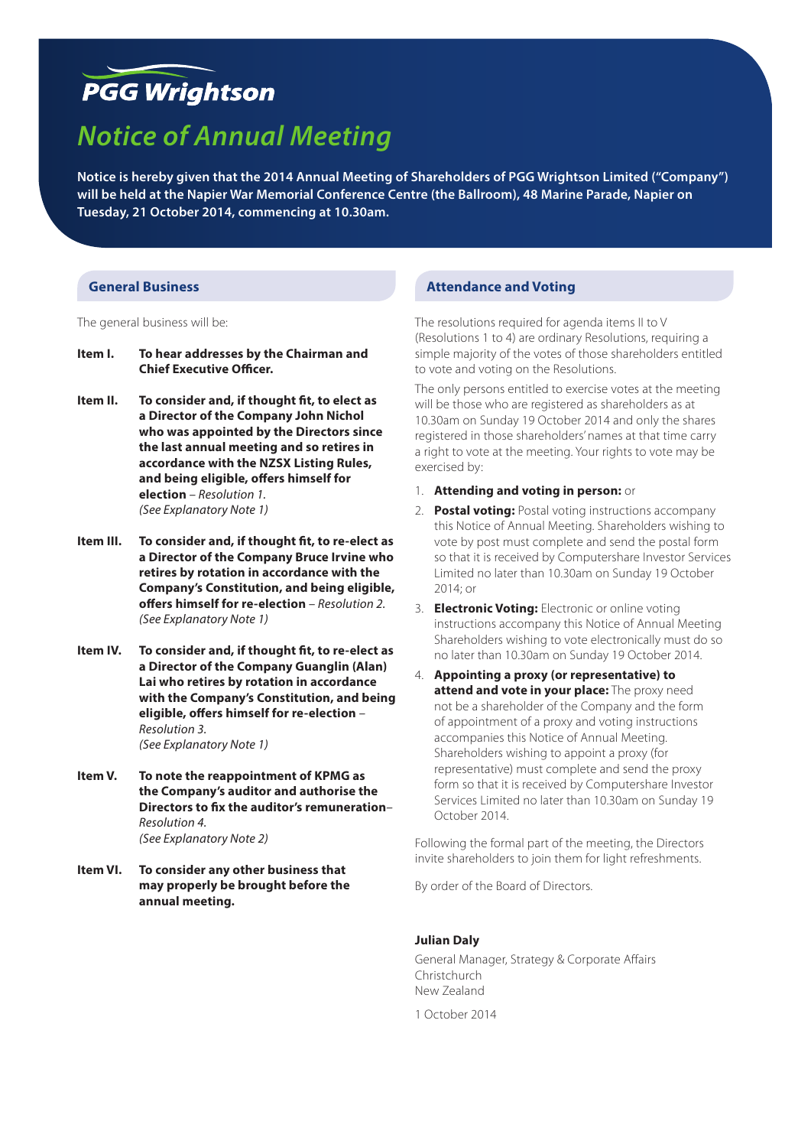# **PGG Wrightson**

# *Notice of Annual Meeting*

**Notice is hereby given that the 2014 Annual Meeting of Shareholders of PGG Wrightson Limited ("Company") will be held at the Napier War Memorial Conference Centre (the Ballroom), 48 Marine Parade, Napier on Tuesday, 21 October 2014, commencing at 10.30am.**

#### **General Business**

The general business will be:

- **Item I. To hear addresses by the Chairman and Chief Executive Officer.**
- **Item II. To consider and, if thought fit, to elect as a Director of the Company John Nichol who was appointed by the Directors since the last annual meeting and so retires in accordance with the NZSX Listing Rules, and being eligible, offers himself for election** *– Resolution 1. (See Explanatory Note 1)*
- **Item III. To consider and, if thought fit, to re-elect as a Director of the Company Bruce Irvine who retires by rotation in accordance with the Company's Constitution, and being eligible, offers himself for re-election** *– Resolution 2. (See Explanatory Note 1)*
- **Item IV. To consider and, if thought fit, to re-elect as a Director of the Company Guanglin (Alan) Lai who retires by rotation in accordance with the Company's Constitution, and being eligible, offers himself for re-election** *– Resolution 3. (See Explanatory Note 1)*
- **Item V. To note the reappointment of KPMG as the Company's auditor and authorise the Directors to fix the auditor's remuneration***– Resolution 4. (See Explanatory Note 2)*
- **Item VI. To consider any other business that may properly be brought before the annual meeting.**

# **Attendance and Voting**

The resolutions required for agenda items II to V (Resolutions 1 to 4) are ordinary Resolutions, requiring a simple majority of the votes of those shareholders entitled to vote and voting on the Resolutions.

The only persons entitled to exercise votes at the meeting will be those who are registered as shareholders as at 10.30am on Sunday 19 October 2014 and only the shares registered in those shareholders' names at that time carry a right to vote at the meeting. Your rights to vote may be exercised by:

- 1. **Attending and voting in person:** or
- 2. **Postal voting:** Postal voting instructions accompany this Notice of Annual Meeting. Shareholders wishing to vote by post must complete and send the postal form so that it is received by Computershare Investor Services Limited no later than 10.30am on Sunday 19 October 2014; or
- 3. **Electronic Voting:** Electronic or online voting instructions accompany this Notice of Annual Meeting Shareholders wishing to vote electronically must do so no later than 10.30am on Sunday 19 October 2014.
- 4. **Appointing a proxy (or representative) to attend and vote in your place:** The proxy need not be a shareholder of the Company and the form of appointment of a proxy and voting instructions accompanies this Notice of Annual Meeting. Shareholders wishing to appoint a proxy (for representative) must complete and send the proxy form so that it is received by Computershare Investor Services Limited no later than 10.30am on Sunday 19 October 2014.

Following the formal part of the meeting, the Directors invite shareholders to join them for light refreshments.

By order of the Board of Directors.

#### **Julian Daly**

General Manager, Strategy & Corporate Affairs Christchurch New Zealand

1 October 2014